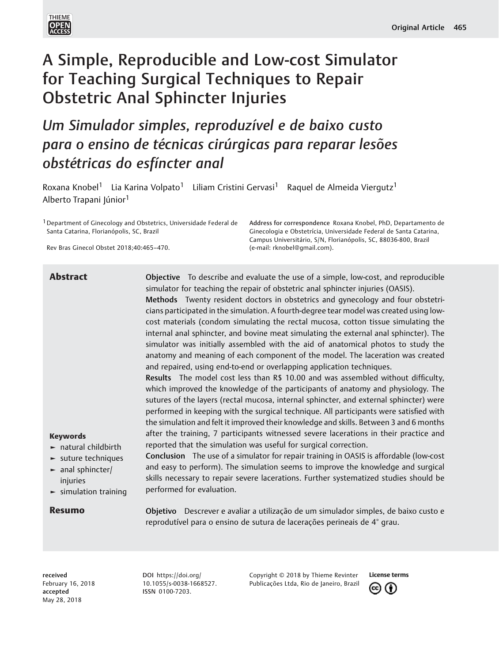

# A Simple, Reproducible and Low-cost Simulator for Teaching Surgical Techniques to Repair Obstetric Anal Sphincter Injuries

Um Simulador simples, reproduzível e de baixo custo para o ensino de técnicas cirúrgicas para reparar lesões obstétricas do esfíncter anal

Roxana Knobel<sup>1</sup> Lia Karina Volpato<sup>1</sup> Liliam Cristini Gervasi<sup>1</sup> Raguel de Almeida Viergutz<sup>1</sup> Alberto Trapani Júnior<sup>1</sup>

<sup>1</sup> Department of Ginecology and Obstetrics, Universidade Federal de Santa Catarina, Florianópolis, SC, Brazil

Rev Bras Ginecol Obstet 2018;40:465–470.

Address for correspondence Roxana Knobel, PhD, Departamento de Ginecologia e Obstetrícia, Universidade Federal de Santa Catarina, Campus Universitário, S/N, Florianópolis, SC, 88036-800, Brazil (e-mail: [rknobel@gmail.com\)](mailto:rknobel@gmail.com).

Keywords ► natural childbirth ► suture techniques ► anal sphincter/ injuries ► simulation training **Abstract Completive** To describe and evaluate the use of a simple, low-cost, and reproducible simulator for teaching the repair of obstetric anal sphincter injuries (OASIS). Methods Twenty resident doctors in obstetrics and gynecology and four obstetricians participated in the simulation. A fourth-degree tear model was created using lowcost materials (condom simulating the rectal mucosa, cotton tissue simulating the internal anal sphincter, and bovine meat simulating the external anal sphincter). The simulator was initially assembled with the aid of anatomical photos to study the anatomy and meaning of each component of the model. The laceration was created and repaired, using end-to-end or overlapping application techniques. Results The model cost less than R\$ 10.00 and was assembled without difficulty, which improved the knowledge of the participants of anatomy and physiology. The sutures of the layers (rectal mucosa, internal sphincter, and external sphincter) were performed in keeping with the surgical technique. All participants were satisfied with the simulation and felt it improved their knowledge and skills. Between 3 and 6 months after the training, 7 participants witnessed severe lacerations in their practice and reported that the simulation was useful for surgical correction. Conclusion The use of a simulator for repair training in OASIS is affordable (low-cost and easy to perform). The simulation seems to improve the knowledge and surgical skills necessary to repair severe lacerations. Further systematized studies should be performed for evaluation. Resumo **Objetivo** Descrever e avaliar a utilização de um simulador simples, de baixo custo e reprodutível para o ensino de sutura de lacerações perineais de 4° grau.

received February 16, 2018 accepted May 28, 2018

DOI [https://doi.org/](https://doi.org/10.1055/s-0038-1668527) [10.1055/s-0038-1668527](https://doi.org/10.1055/s-0038-1668527). ISSN 0100-7203.

Copyright © 2018 by Thieme Revinter Publicações Ltda, Rio de Janeiro, Brazil

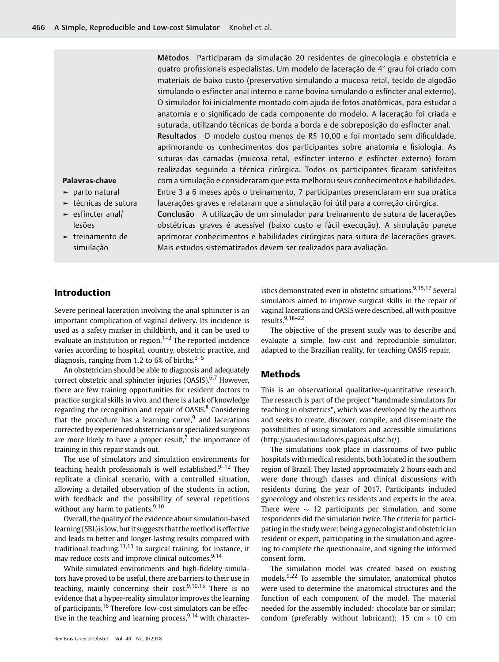Métodos Participaram da simulação 20 residentes de ginecologia e obstetrícia e quatro profissionais especialistas. Um modelo de laceração de 4° grau foi criado com materiais de baixo custo (preservativo simulando a mucosa retal, tecido de algodão simulando o esfíncter anal interno e carne bovina simulando o esfíncter anal externo). O simulador foi inicialmente montado com ajuda de fotos anatômicas, para estudar a anatomia e o significado de cada componente do modelo. A laceração foi criada e suturada, utilizando técnicas de borda a borda e de sobreposição do esfíncter anal. Resultados O modelo custou menos de R\$ 10,00 e foi montado sem dificuldade, aprimorando os conhecimentos dos participantes sobre anatomia e fisiologia. As suturas das camadas (mucosa retal, esfíncter interno e esfíncter externo) foram realizadas seguindo a técnica cirúrgica. Todos os participantes ficaram satisfeitos com a simulação e consideraram que esta melhorou seus conhecimentos e habilidades. Entre 3 a 6 meses após o treinamento, 7 participantes presenciaram em sua prática lacerações graves e relataram que a simulação foi útil para a correção cirúrgica. Conclusão A utilização de um simulador para treinamento de sutura de lacerações obstétricas graves é acessível (baixo custo e fácil execução). A simulação parece aprimorar conhecimentos e habilidades cirúrgicas para sutura de lacerações graves. Mais estudos sistematizados devem ser realizados para avaliação.

### Palavras-chave

- ► parto natural
- ► técnicas de sutura
- ► esfíncter anal/ lesões
- ► treinamento de simulação

## Introduction

Severe perineal laceration involving the anal sphincter is an important complication of vaginal delivery. Its incidence is used as a safety marker in childbirth, and it can be used to evaluate an institution or region. $1-3$  The reported incidence varies according to hospital, country, obstetric practice, and diagnosis, ranging from 1.2 to 6% of births. $3-5$ 

An obstetrician should be able to diagnosis and adequately correct obstetric anal sphincter injuries (OASIS).<sup>6,7</sup> However, there are few training opportunities for resident doctors to practice surgical skills in vivo, and there is a lack of knowledge regarding the recognition and repair of OASIS.<sup>8</sup> Considering that the procedure has a learning curve, $9$  and lacerations corrected by experienced obstetricians or specialized surgeons are more likely to have a proper result, $<sup>7</sup>$  the importance of</sup> training in this repair stands out.

The use of simulators and simulation environments for teaching health professionals is well established.<sup>9-12</sup> They replicate a clinical scenario, with a controlled situation, allowing a detailed observation of the students in action, with feedback and the possibility of several repetitions without any harm to patients.<sup>9,10</sup>

Overall, the quality of the evidence about simulation-based learning (SBL) is low, but it suggests that the method is effective and leads to better and longer-lasting results compared with traditional teaching.<sup>11,13</sup> In surgical training, for instance, it may reduce costs and improve clinical outcomes.<sup>9,14</sup>

While simulated environments and high-fidelity simulators have proved to be useful, there are barriers to their use in teaching, mainly concerning their cost.<sup>9,10,15</sup> There is no evidence that a hyper-reality simulator improves the learning of participants.<sup>16</sup> Therefore, low-cost simulators can be effective in the teaching and learning process,  $9,14$  with characteristics demonstrated even in obstetric situations.<sup>9,15,17</sup> Several simulators aimed to improve surgical skills in the repair of vaginal lacerations and OASISwere described, all with positive results.9,18–<sup>22</sup>

The objective of the present study was to describe and evaluate a simple, low-cost and reproducible simulator, adapted to the Brazilian reality, for teaching OASIS repair.

## Methods

This is an observational qualitative-quantitative research. The research is part of the project "handmade simulators for teaching in obstetrics", which was developed by the authors and seeks to create, discover, compile, and disseminate the possibilities of using simulators and accessible simulations ([http://saudesimuladores.paginas.ufsc.br/\)](http://saudesimuladores.paginas.ufsc.br/).

The simulations took place in classrooms of two public hospitals with medical residents, both located in the southern region of Brazil. They lasted approximately 2 hours each and were done through classes and clinical discussions with residents during the year of 2017. Participants included gynecology and obstetrics residents and experts in the area. There were  $\sim$  12 participants per simulation, and some respondents did the simulation twice. The criteria for participating in the study were: being a gynecologist and obstetrician resident or expert, participating in the simulation and agreeing to complete the questionnaire, and signing the informed consent form.

The simulation model was created based on existing models.<sup>9,22</sup> To assemble the simulator, anatomical photos were used to determine the anatomical structures and the function of each component of the model. The material needed for the assembly included: chocolate bar or similar; condom (preferably without lubricant); 15 cm  $\times$  10 cm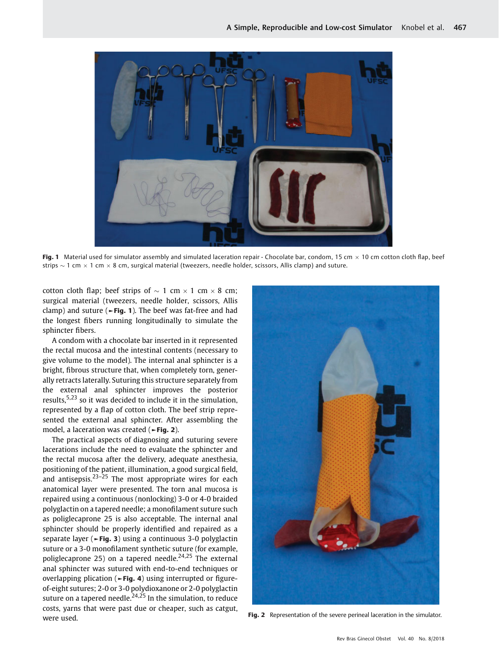

Fig. 1 Material used for simulator assembly and simulated laceration repair - Chocolate bar, condom, 15 cm  $\times$  10 cm cotton cloth flap, beef strips  $\sim$  1 cm  $\times$  1 cm  $\times$  8 cm, surgical material (tweezers, needle holder, scissors, Allis clamp) and suture.

cotton cloth flap; beef strips of  $\sim 1$  cm  $\times 1$  cm  $\times 8$  cm; surgical material (tweezers, needle holder, scissors, Allis clamp) and suture ( $\blacktriangleright$ Fig. 1). The beef was fat-free and had the longest fibers running longitudinally to simulate the sphincter fibers.

A condom with a chocolate bar inserted in it represented the rectal mucosa and the intestinal contents (necessary to give volume to the model). The internal anal sphincter is a bright, fibrous structure that, when completely torn, generally retracts laterally. Suturing this structure separately from the external anal sphincter improves the posterior results,5,23 so it was decided to include it in the simulation, represented by a flap of cotton cloth. The beef strip represented the external anal sphincter. After assembling the model, a laceration was created (►Fig. 2).

The practical aspects of diagnosing and suturing severe lacerations include the need to evaluate the sphincter and the rectal mucosa after the delivery, adequate anesthesia, positioning of the patient, illumination, a good surgical field, and antisepsis. $23-25$  The most appropriate wires for each anatomical layer were presented. The torn anal mucosa is repaired using a continuous (nonlocking) 3-0 or 4-0 braided polyglactin on a tapered needle; a monofilament suture such as poliglecaprone 25 is also acceptable. The internal anal sphincter should be properly identified and repaired as a separate layer (►Fig. 3) using a continuous 3-0 polyglactin suture or a 3-0 monofilament synthetic suture (for example, poliglecaprone 25) on a tapered needle.<sup>24,25</sup> The external anal sphincter was sutured with end-to-end techniques or overlapping plication (►Fig. 4) using interrupted or figureof-eight sutures; 2-0 or 3-0 polydioxanone or 2-0 polyglactin suture on a tapered needle. $24,25$  In the simulation, to reduce costs, yarns that were past due or cheaper, such as catgut, were used.



Fig. 2 Representation of the severe perineal laceration in the simulator.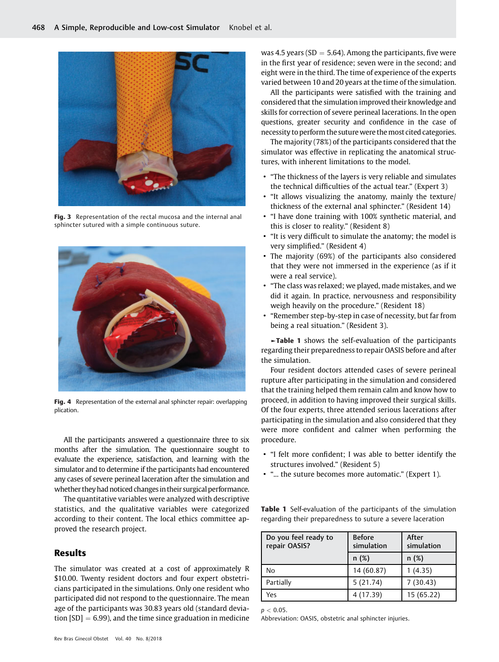

Fig. 3 Representation of the rectal mucosa and the internal anal sphincter sutured with a simple continuous suture.



Fig. 4 Representation of the external anal sphincter repair: overlapping plication.

All the participants answered a questionnaire three to six months after the simulation. The questionnaire sought to evaluate the experience, satisfaction, and learning with the simulator and to determine if the participants had encountered any cases of severe perineal laceration after the simulation and whether they had noticed changes in their surgical performance.

The quantitative variables were analyzed with descriptive statistics, and the qualitative variables were categorized according to their content. The local ethics committee approved the research project.

# Results

The simulator was created at a cost of approximately R \$10.00. Twenty resident doctors and four expert obstetricians participated in the simulations. Only one resident who participated did not respond to the questionnaire. The mean age of the participants was 30.83 years old (standard deviation  $[SD] = 6.99$ ), and the time since graduation in medicine was 4.5 years (SD  $=$  5.64). Among the participants, five were in the first year of residence; seven were in the second; and eight were in the third. The time of experience of the experts varied between 10 and 20 years at the time of the simulation.

All the participants were satisfied with the training and considered that the simulation improved their knowledge and skills for correction of severe perineal lacerations. In the open questions, greater security and confidence in the case of necessity to perform the suture were themost cited categories.

The majority (78%) of the participants considered that the simulator was effective in replicating the anatomical structures, with inherent limitations to the model.

- "The thickness of the layers is very reliable and simulates the technical difficulties of the actual tear." (Expert 3)
- "It allows visualizing the anatomy, mainly the texture/ thickness of the external anal sphincter." (Resident 14)
- "I have done training with 100% synthetic material, and this is closer to reality." (Resident 8)
- "It is very difficult to simulate the anatomy; the model is very simplified." (Resident 4)
- The majority (69%) of the participants also considered that they were not immersed in the experience (as if it were a real service).
- "The class was relaxed; we played, made mistakes, and we did it again. In practice, nervousness and responsibility weigh heavily on the procedure." (Resident 18)
- "Remember step-by-step in case of necessity, but far from being a real situation." (Resident 3).

►Table 1 shows the self-evaluation of the participants regarding their preparedness to repair OASIS before and after the simulation.

Four resident doctors attended cases of severe perineal rupture after participating in the simulation and considered that the training helped them remain calm and know how to proceed, in addition to having improved their surgical skills. Of the four experts, three attended serious lacerations after participating in the simulation and also considered that they were more confident and calmer when performing the procedure.

- "I felt more confident; I was able to better identify the structures involved." (Resident 5)
- "... the suture becomes more automatic." (Expert 1).

**Table 1** Self-evaluation of the participants of the simulation regarding their preparedness to suture a severe laceration

| Do you feel ready to<br>repair OASIS? | <b>Before</b><br>simulation | After<br>simulation |
|---------------------------------------|-----------------------------|---------------------|
|                                       | n(%)                        | n(%)                |
| No                                    | 14 (60.87)                  | 1(4.35)             |
| Partially                             | 5(21.74)                    | 7(30.43)            |
| Yes                                   | 4 (17.39)                   | 15 (65.22)          |

 $p < 0.05$ .

Abbreviation: OASIS, obstetric anal sphincter injuries.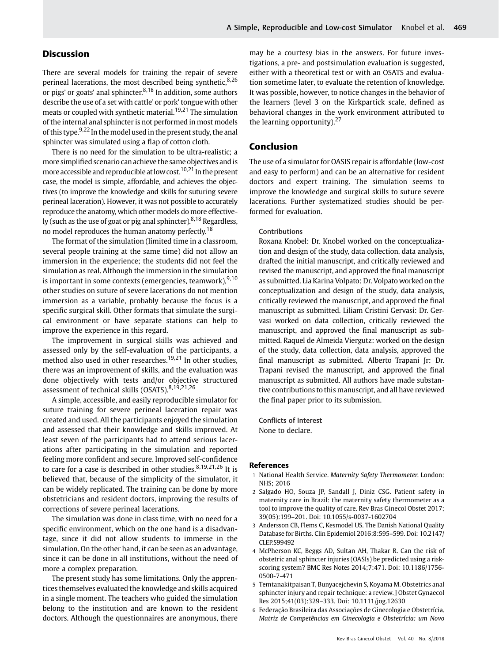# Discussion

There are several models for training the repair of severe perineal lacerations, the most described being synthetic,  $8,26$ or pigs' or goats' anal sphincter. $8,18$  In addition, some authors describe the use of a set with cattle' or pork' tongue with other meats or coupled with synthetic material.<sup>19,21</sup> The simulation of the internal anal sphincter is not performed in most models of this type.9,22 In the model used in the present study, the anal sphincter was simulated using a flap of cotton cloth.

There is no need for the simulation to be ultra-realistic; a more simplified scenario can achieve the same objectives andis more accessible and reproducible at low cost.<sup>10,21</sup> In the present case, the model is simple, affordable, and achieves the objectives (to improve the knowledge and skills for suturing severe perineal laceration). However, it was not possible to accurately reproduce the anatomy, which other models do more effectively (such as the use of goat or pig anal sphincter).  $8,18$  Regardless, no model reproduces the human anatomy perfectly.<sup>18</sup>

The format of the simulation (limited time in a classroom, several people training at the same time) did not allow an immersion in the experience; the students did not feel the simulation as real. Although the immersion in the simulation is important in some contexts (emergencies, teamwork),  $9,10$ other studies on suture of severe lacerations do not mention immersion as a variable, probably because the focus is a specific surgical skill. Other formats that simulate the surgical environment or have separate stations can help to improve the experience in this regard.

The improvement in surgical skills was achieved and assessed only by the self-evaluation of the participants, a method also used in other researches.<sup>19,21</sup> In other studies, there was an improvement of skills, and the evaluation was done objectively with tests and/or objective structured assessment of technical skills (OSATS).<sup>8,19,21,26</sup>

A simple, accessible, and easily reproducible simulator for suture training for severe perineal laceration repair was created and used. All the participants enjoyed the simulation and assessed that their knowledge and skills improved. At least seven of the participants had to attend serious lacerations after participating in the simulation and reported feeling more confident and secure. Improved self-confidence to care for a case is described in other studies.<sup>8,19,21,26</sup> It is believed that, because of the simplicity of the simulator, it can be widely replicated. The training can be done by more obstetricians and resident doctors, improving the results of corrections of severe perineal lacerations.

The simulation was done in class time, with no need for a specific environment, which on the one hand is a disadvantage, since it did not allow students to immerse in the simulation. On the other hand, it can be seen as an advantage, since it can be done in all institutions, without the need of more a complex preparation.

The present study has some limitations. Only the apprentices themselves evaluated the knowledge and skills acquired in a single moment. The teachers who guided the simulation belong to the institution and are known to the resident doctors. Although the questionnaires are anonymous, there may be a courtesy bias in the answers. For future investigations, a pre- and postsimulation evaluation is suggested, either with a theoretical test or with an OSATS and evaluation sometime later, to evaluate the retention of knowledge. It was possible, however, to notice changes in the behavior of the learners (level 3 on the Kirkpartick scale, defined as behavioral changes in the work environment attributed to the learning opportunity). $27$ 

## Conclusion

The use of a simulator for OASIS repair is affordable (low-cost and easy to perform) and can be an alternative for resident doctors and expert training. The simulation seems to improve the knowledge and surgical skills to suture severe lacerations. Further systematized studies should be performed for evaluation.

#### Contributions

Roxana Knobel: Dr. Knobel worked on the conceptualization and design of the study, data collection, data analysis, drafted the initial manuscript, and critically reviewed and revised the manuscript, and approved the final manuscript as submitted. Lia Karina Volpato: Dr. Volpato worked on the conceptualization and design of the study, data analysis, critically reviewed the manuscript, and approved the final manuscript as submitted. Liliam Cristini Gervasi: Dr. Gervasi worked on data collection, critically reviewed the manuscript, and approved the final manuscript as submitted. Raquel de Almeida Viergutz: worked on the design of the study, data collection, data analysis, approved the final manuscript as submitted. Alberto Trapani Jr: Dr. Trapani revised the manuscript, and approved the final manuscript as submitted. All authors have made substantive contributions to this manuscript, and all have reviewed the final paper prior to its submission.

Conflicts of Interest None to declare.

#### References

- 1 National Health Service. Maternity Safety Thermometer. London: NHS; 2016
- 2 Salgado HO, Souza JP, Sandall J, Diniz CSG. Patient safety in maternity care in Brazil: the maternity safety thermometer as a tool to improve the quality of care. Rev Bras Ginecol Obstet 2017; 39(05):199–201. Doi: 10.1055/s-0037-1602704
- 3 Andersson CB, Flems C, Kesmodel US. The Danish National Quality Database for Births. Clin Epidemiol 2016;8:595–599. Doi: 10.2147/ CLEP.S99492
- 4 McPherson KC, Beggs AD, Sultan AH, Thakar R. Can the risk of obstetric anal sphincter injuries (OASIs) be predicted using a riskscoring system? BMC Res Notes 2014;7:471. Doi: 10.1186/1756- 0500-7-471
- 5 Temtanakitpaisan T, Bunyacejchevin S, Koyama M. Obstetrics anal sphincter injury and repair technique: a review. J Obstet Gynaecol Res 2015;41(03):329–333. Doi: 10.1111/jog.12630
- 6 Federação Brasileira das Associações de Ginecologia e Obstetrícia. Matriz de Competências em Ginecologia e Obstetrícia: um Novo